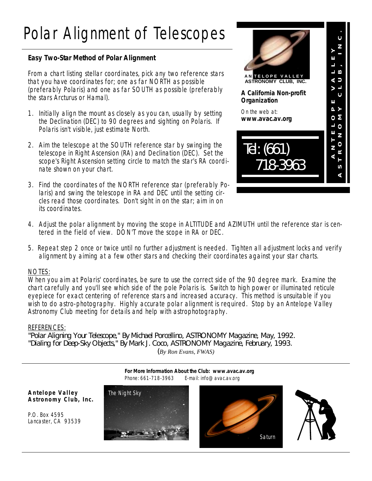## Polar Alignment of Telescopes

### **Easy Two-Star Method of Polar Alignment**

From a chart listing stellar coordinates, pick any two reference stars that you have coordinates for; one as far NORTH as possible (preferably Polaris) and one as far SOUTH as possible (preferably the stars Arcturus or Hamal).

- 1. Initially align the mount as closely as you can, usually by setting the Declination (DEC) to 90 degrees and sighting on Polaris. If Polaris isn't visible, just estimate North.
- 2. Aim the telescope at the SOUTH reference star by swinging the telescope in Right Ascension (RA) and Declination (DEC). Set the scope's Right Ascension setting circle to match the star's RA coordinate shown on your chart.
- 3. Find the coordinates of the NORTH reference star (preferably Polaris) and swing the telescope in RA and DEC until the setting circles read those coordinates. Don't sight in on the star; aim in on its coordinates.



- 4. Adjust the polar alignment by moving the scope in ALTITUDE and AZIMUTH until the reference star is centered in the field of view. DON'T move the scope in RA or DEC.
- 5. Repeat step 2 once or twice until no further adjustment is needed. Tighten all adjustment locks and verify alignment by aiming at a few other stars and checking their coordinates against your star charts.

#### NOTES:

When you aim at Polaris' coordinates, be sure to use the correct side of the 90 degree mark. Examine the chart carefully and you'll see which side of the pole Polaris is. Switch to high power or illuminated reticule eyepiece for exact centering of reference stars and increased accuracy. This method is unsuitable if you wish to do astro-photography. Highly accurate polar alignment is required. Stop by an Antelope Valley Astronomy Club meeting for details and help with astrophotography.

#### REFERENCES:

*"Polar Aligning Your Telescope," By Michael Porcellino, ASTRONOMY Magazine, May, 1992. "Dialing for Deep-Sky Objects," By Mark J. Coco, ASTRONOMY Magazine, February, 1993. (By Ron Evans, FWAS)*